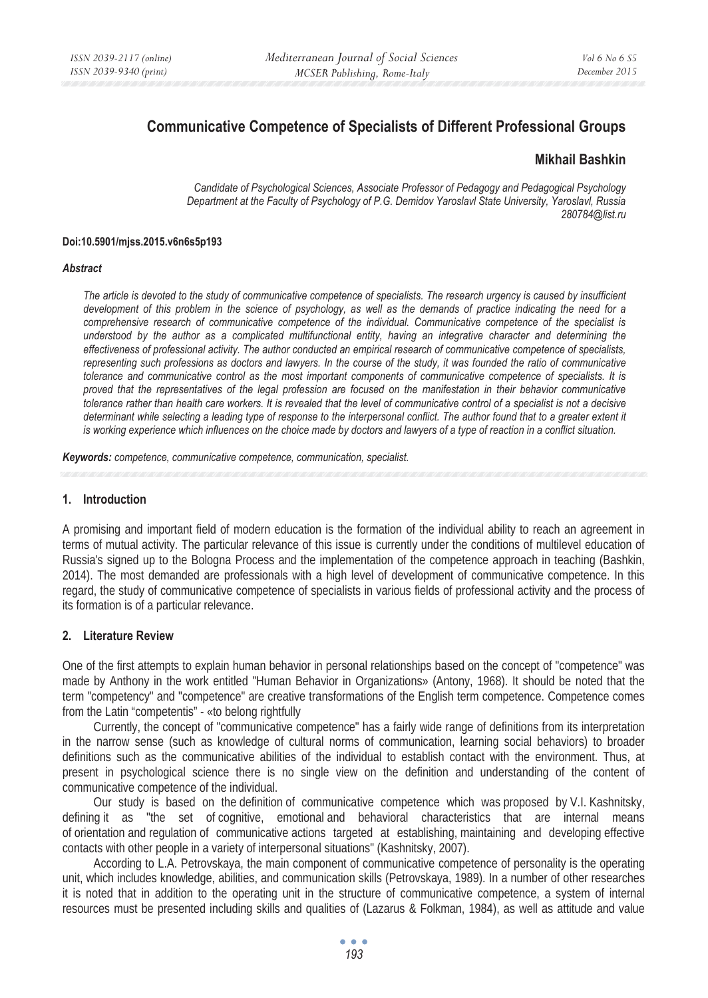# **Communicative Competence of Specialists of Different Professional Groups**

### **Mikhail Bashkin**

*Candidate of Psychological Sciences, Associate Professor of Pedagogy and Pedagogical Psychology Department at the Faculty of Psychology of P.G. Demidov Yaroslavl State University, Yaroslavl, Russia 280784@list.ru* 

#### **Doi:10.5901/mjss.2015.v6n6s5p193**

#### *Abstract*

*The article is devoted to the study of communicative competence of specialists. The research urgency is caused by insufficient development of this problem in the science of psychology, as well as the demands of practice indicating the need for a comprehensive research of communicative competence of the individual. Communicative competence of the specialist is understood by the author as a complicated multifunctional entity, having an integrative character and determining the effectiveness of professional activity. The author conducted an empirical research of communicative competence of specialists, representing such professions as doctors and lawyers. In the course of the study, it was founded the ratio of communicative tolerance and communicative control as the most important components of communicative competence of specialists. It is proved that the representatives of the legal profession are focused on the manifestation in their behavior communicative tolerance rather than health care workers. It is revealed that the level of communicative control of a specialist is not a decisive determinant while selecting a leading type of response to the interpersonal conflict. The author found that to a greater extent it is working experience which influences on the choice made by doctors and lawyers of a type of reaction in a conflict situation.*

*Keywords: competence, communicative competence, communication, specialist.*

#### **1. Introduction**

A promising and important field of modern education is the formation of the individual ability to reach an agreement in terms of mutual activity. The particular relevance of this issue is currently under the conditions of multilevel education of Russia's signed up to the Bologna Process and the implementation of the competence approach in teaching (Bashkin, 2014). The most demanded are professionals with a high level of development of communicative competence. In this regard, the study of communicative competence of specialists in various fields of professional activity and the process of its formation is of a particular relevance.

#### **2. Literature Review**

One of the first attempts to explain human behavior in personal relationships based on the concept of "competence" was made by Anthony in the work entitled "Human Behavior in Organizations» (Antony, 1968). It should be noted that the term "competency" and "competence" are creative transformations of the English term competence. Competence comes from the Latin "competentis" - «to belong rightfully

Currently, the concept of "communicative competence" has a fairly wide range of definitions from its interpretation in the narrow sense (such as knowledge of cultural norms of communication, learning social behaviors) to broader definitions such as the communicative abilities of the individual to establish contact with the environment. Thus, at present in psychological science there is no single view on the definition and understanding of the content of communicative competence of the individual.

Our study is based on the definition of communicative competence which was proposed by V.I. Kashnitsky, defining it as "the set of cognitive, emotional and behavioral characteristics that are internal means of orientation and regulation of communicative actions targeted at establishing, maintaining and developing effective contacts with other people in a variety of interpersonal situations" (Kashnitsky, 2007).

According to L.A. Petrovskaya, the main component of communicative competence of personality is the operating unit, which includes knowledge, abilities, and communication skills (Petrovskaya, 1989). In a number of other researches it is noted that in addition to the operating unit in the structure of communicative competence, a system of internal resources must be presented including skills and qualities of (Lazarus & Folkman, 1984), as well as attitude and value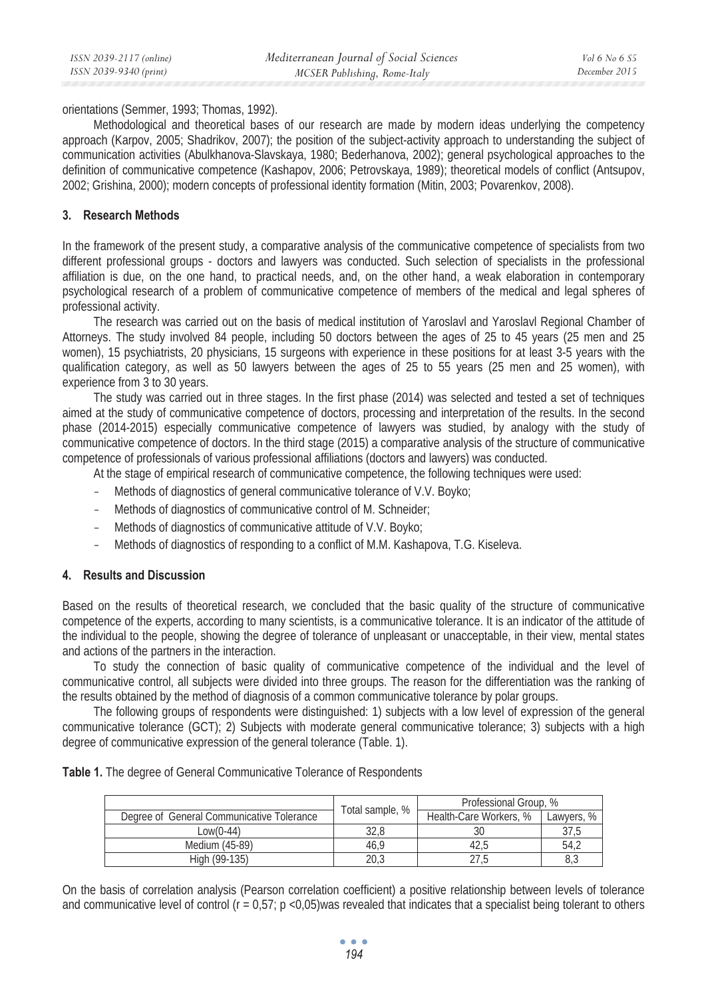orientations (Semmer, 1993; Thomas, 1992).

Methodological and theoretical bases of our research are made by modern ideas underlying the competency approach (Karpov, 2005; Shadrikov, 2007); the position of the subject-activity approach to understanding the subject of communication activities (Abulkhanova-Slavskaya, 1980; Bederhanova, 2002); general psychological approaches to the definition of communicative competence (Kashapov, 2006; Petrovskaya, 1989); theoretical models of conflict (Antsupov, 2002; Grishina, 2000); modern concepts of professional identity formation (Mitin, 2003; Povarenkov, 2008).

### **3. Research Methods**

In the framework of the present study, a comparative analysis of the communicative competence of specialists from two different professional groups - doctors and lawyers was conducted. Such selection of specialists in the professional affiliation is due, on the one hand, to practical needs, and, on the other hand, a weak elaboration in contemporary psychological research of a problem of communicative competence of members of the medical and legal spheres of professional activity.

The research was carried out on the basis of medical institution of Yaroslavl and Yaroslavl Regional Chamber of Attorneys. The study involved 84 people, including 50 doctors between the ages of 25 to 45 years (25 men and 25 women), 15 psychiatrists, 20 physicians, 15 surgeons with experience in these positions for at least 3-5 years with the qualification category, as well as 50 lawyers between the ages of 25 to 55 years (25 men and 25 women), with experience from 3 to 30 years.

The study was carried out in three stages. In the first phase (2014) was selected and tested a set of techniques aimed at the study of communicative competence of doctors, processing and interpretation of the results. In the second phase (2014-2015) especially communicative competence of lawyers was studied, by analogy with the study of communicative competence of doctors. In the third stage (2015) a comparative analysis of the structure of communicative competence of professionals of various professional affiliations (doctors and lawyers) was conducted.

At the stage of empirical research of communicative competence, the following techniques were used:

- Methods of diagnostics of general communicative tolerance of V.V. Boyko;
- Methods of diagnostics of communicative control of M. Schneider;
- Methods of diagnostics of communicative attitude of V.V. Boyko;
- Methods of diagnostics of responding to a conflict of M.M. Kashapova, T.G. Kiseleva.

### **4. Results and Discussion**

Based on the results of theoretical research, we concluded that the basic quality of the structure of communicative competence of the experts, according to many scientists, is a communicative tolerance. It is an indicator of the attitude of the individual to the people, showing the degree of tolerance of unpleasant or unacceptable, in their view, mental states and actions of the partners in the interaction.

To study the connection of basic quality of communicative competence of the individual and the level of communicative control, all subjects were divided into three groups. The reason for the differentiation was the ranking of the results obtained by the method of diagnosis of a common communicative tolerance by polar groups.

The following groups of respondents were distinguished: 1) subjects with a low level of expression of the general communicative tolerance (GCT); 2) Subjects with moderate general communicative tolerance; 3) subjects with a high degree of communicative expression of the general tolerance (Table. 1).

| Table 1. The degree of General Communicative Tolerance of Respondents |  |
|-----------------------------------------------------------------------|--|
|-----------------------------------------------------------------------|--|

|                                           | Total sample, % | Professional Group. %  |            |  |
|-------------------------------------------|-----------------|------------------------|------------|--|
| Degree of General Communicative Tolerance |                 | Health-Care Workers, % | Lawvers, % |  |
| $_{\text{OW}}(0-44)$                      | 32.8            | 30                     | 37.5       |  |
| Medium (45-89)                            | 46.9            |                        | 54.2       |  |
| High (99-135)                             | 20.3            |                        | 8,3        |  |

On the basis of correlation analysis (Pearson correlation coefficient) a positive relationship between levels of tolerance and communicative level of control ( $r = 0.57$ ;  $p < 0.05$ )was revealed that indicates that a specialist being tolerant to others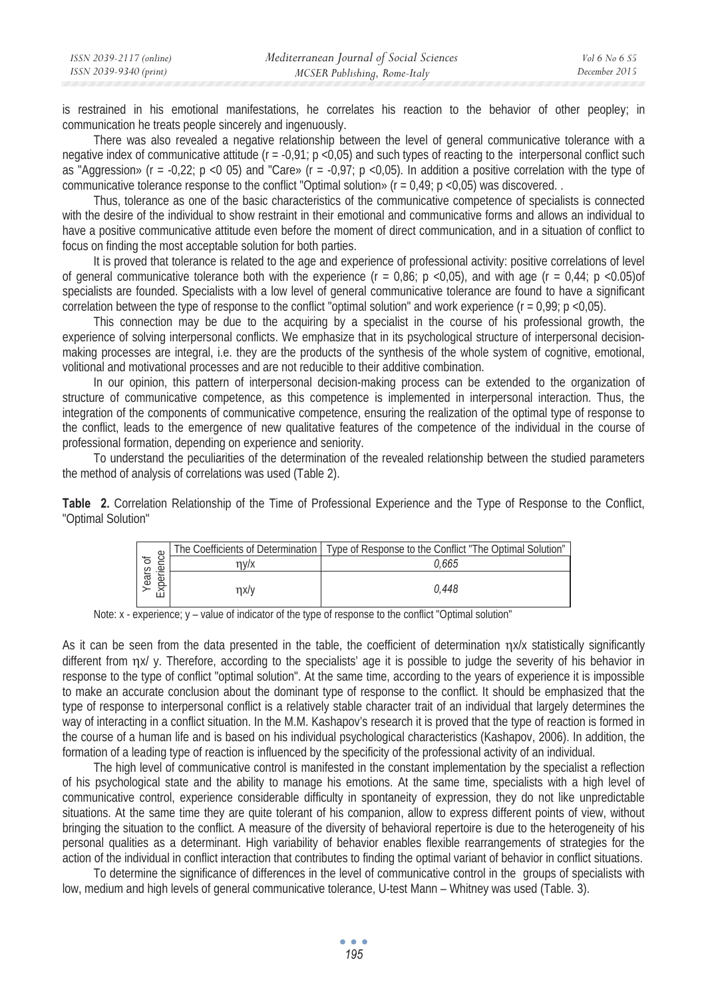| ISSN 2039-2117 (online) | Mediterranean Journal of Social Sciences | <i>Vol</i> 6 No 6 S5 |
|-------------------------|------------------------------------------|----------------------|
| ISSN 2039-9340 (print)  | MCSER Publishing, Rome-Italy             | December 2015        |

is restrained in his emotional manifestations, he correlates his reaction to the behavior of other peopley; in communication he treats people sincerely and ingenuously.

There was also revealed a negative relationship between the level of general communicative tolerance with a negative index of communicative attitude  $(r = -0.91; p < 0.05)$  and such types of reacting to the interpersonal conflict such as "Aggression» ( $r = -0.22$ ;  $p < 0.05$ ) and "Care» ( $r = -0.97$ ;  $p < 0.05$ ). In addition a positive correlation with the type of communicative tolerance response to the conflict "Optimal solution» (r = 0,49; p <0,05) was discovered. .

Thus, tolerance as one of the basic characteristics of the communicative competence of specialists is connected with the desire of the individual to show restraint in their emotional and communicative forms and allows an individual to have a positive communicative attitude even before the moment of direct communication, and in a situation of conflict to focus on finding the most acceptable solution for both parties.

It is proved that tolerance is related to the age and experience of professional activity: positive correlations of level of general communicative tolerance both with the experience  $(r = 0.86; p < 0.05)$ , and with age  $(r = 0.44; p < 0.05)$ of specialists are founded. Specialists with a low level of general communicative tolerance are found to have a significant correlation between the type of response to the conflict "optimal solution" and work experience  $(r = 0.99; p < 0.05)$ .

This connection may be due to the acquiring by a specialist in the course of his professional growth, the experience of solving interpersonal conflicts. We emphasize that in its psychological structure of interpersonal decisionmaking processes are integral, i.e. they are the products of the synthesis of the whole system of cognitive, emotional, volitional and motivational processes and are not reducible to their additive combination.

In our opinion, this pattern of interpersonal decision-making process can be extended to the organization of structure of communicative competence, as this competence is implemented in interpersonal interaction. Thus, the integration of the components of communicative competence, ensuring the realization of the optimal type of response to the conflict, leads to the emergence of new qualitative features of the competence of the individual in the course of professional formation, depending on experience and seniority.

To understand the peculiarities of the determination of the revealed relationship between the studied parameters the method of analysis of correlations was used (Table 2).

**Table 2.** Correlation Relationship of the Time of Professional Experience and the Type of Response to the Conflict, "Optimal Solution"

| $\circ$             |      | The Coefficients of Determination   Type of Response to the Conflict "The Optimal Solution" |
|---------------------|------|---------------------------------------------------------------------------------------------|
| ัธ<br>.⊉<br>$\circ$ | 7V/X | 0.665                                                                                       |
| ਫ਼ਿ<br>ট            | nx/v | 0.448                                                                                       |

Note: x - experience; y – value of indicator of the type of response to the conflict "Optimal solution"

As it can be seen from the data presented in the table, the coefficient of determination  $\eta x/x$  statistically significantly different from ηχ/ γ. Therefore, according to the specialists' age it is possible to judge the severity of his behavior in response to the type of conflict "optimal solution". At the same time, according to the years of experience it is impossible to make an accurate conclusion about the dominant type of response to the conflict. It should be emphasized that the type of response to interpersonal conflict is a relatively stable character trait of an individual that largely determines the way of interacting in a conflict situation. In the M.M. Kashapov's research it is proved that the type of reaction is formed in the course of a human life and is based on his individual psychological characteristics (Kashapov, 2006). In addition, the formation of a leading type of reaction is influenced by the specificity of the professional activity of an individual.

The high level of communicative control is manifested in the constant implementation by the specialist a reflection of his psychological state and the ability to manage his emotions. At the same time, specialists with a high level of communicative control, experience considerable difficulty in spontaneity of expression, they do not like unpredictable situations. At the same time they are quite tolerant of his companion, allow to express different points of view, without bringing the situation to the conflict. A measure of the diversity of behavioral repertoire is due to the heterogeneity of his personal qualities as a determinant. High variability of behavior enables flexible rearrangements of strategies for the action of the individual in conflict interaction that contributes to finding the optimal variant of behavior in conflict situations.

To determine the significance of differences in the level of communicative control in the groups of specialists with low, medium and high levels of general communicative tolerance, U-test Mann – Whitney was used (Table. 3).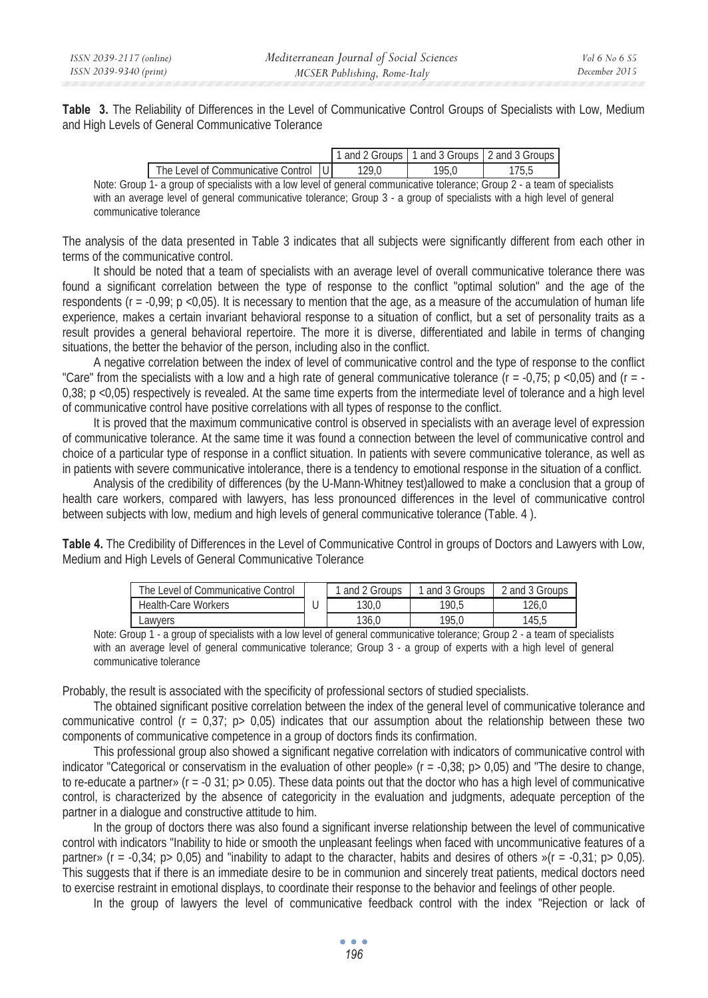**Table 3.** The Reliability of Differences in the Level of Communicative Control Groups of Specialists with Low, Medium and High Levels of General Communicative Tolerance

|                                                                                                         |       |      | 1 and 2 Groups 1 1 and 3 Groups 1 2 and 3 Groups 1 |
|---------------------------------------------------------------------------------------------------------|-------|------|----------------------------------------------------|
| The Level of Communicative Control IUI                                                                  | '29.O | 95.0 |                                                    |
| $\sim$ constructed and statistically contained and constructed and construction of $\sim$ $\sim$ $\sim$ |       |      | . 1                                                |

Note: Group 1- a group of specialists with a low level of general communicative tolerance; Group 2 - a team of specialists with an average level of general communicative tolerance; Group 3 - a group of specialists with a high level of general communicative tolerance

The analysis of the data presented in Table 3 indicates that all subjects were significantly different from each other in terms of the communicative control.

It should be noted that a team of specialists with an average level of overall communicative tolerance there was found a significant correlation between the type of response to the conflict "optimal solution" and the age of the respondents ( $r = -0.99$ ;  $p < 0.05$ ). It is necessary to mention that the age, as a measure of the accumulation of human life experience, makes a certain invariant behavioral response to a situation of conflict, but a set of personality traits as a result provides a general behavioral repertoire. The more it is diverse, differentiated and labile in terms of changing situations, the better the behavior of the person, including also in the conflict.

A negative correlation between the index of level of communicative control and the type of response to the conflict "Care" from the specialists with a low and a high rate of general communicative tolerance  $(r = -0.75; p < 0.05)$  and  $(r = -0.75; p < 0.05)$ 0,38; p <0,05) respectively is revealed. At the same time experts from the intermediate level of tolerance and a high level of communicative control have positive correlations with all types of response to the conflict.

It is proved that the maximum communicative control is observed in specialists with an average level of expression of communicative tolerance. At the same time it was found a connection between the level of communicative control and choice of a particular type of response in a conflict situation. In patients with severe communicative tolerance, as well as in patients with severe communicative intolerance, there is a tendency to emotional response in the situation of a conflict.

Analysis of the credibility of differences (by the U-Mann-Whitney test)allowed to make a conclusion that a group of health care workers, compared with lawyers, has less pronounced differences in the level of communicative control between subjects with low, medium and high levels of general communicative tolerance (Table. 4 ).

**Table 4.** The Credibility of Differences in the Level of Communicative Control in groups of Doctors and Lawyers with Low, Medium and High Levels of General Communicative Tolerance

| The Level of Communicative Control | and 2 Groups | and 3 Groups | 2 and 3 Groups |
|------------------------------------|--------------|--------------|----------------|
| <b>Health-Care Workers</b>         | 130.0        | 190.5        | 126.0          |
| ∟awyers                            | 136.0        | 195.0        | 145.5          |

Note: Group 1 - a group of specialists with a low level of general communicative tolerance; Group 2 - a team of specialists with an average level of general communicative tolerance; Group 3 - a group of experts with a high level of general communicative tolerance

Probably, the result is associated with the specificity of professional sectors of studied specialists.

The obtained significant positive correlation between the index of the general level of communicative tolerance and communicative control ( $r = 0.37$ ;  $p > 0.05$ ) indicates that our assumption about the relationship between these two components of communicative competence in a group of doctors finds its confirmation.

This professional group also showed a significant negative correlation with indicators of communicative control with indicator "Categorical or conservatism in the evaluation of other people» ( $r = -0.38$ ;  $p > 0.05$ ) and "The desire to change, to re-educate a partner» ( $r = -0.31$ ;  $p > 0.05$ ). These data points out that the doctor who has a high level of communicative control, is characterized by the absence of categoricity in the evaluation and judgments, adequate perception of the partner in a dialogue and constructive attitude to him.

In the group of doctors there was also found a significant inverse relationship between the level of communicative control with indicators "Inability to hide or smooth the unpleasant feelings when faced with uncommunicative features of a partner» ( $r = -0.34$ ;  $p > 0.05$ ) and "inability to adapt to the character, habits and desires of others  $s(r = -0.31$ ;  $p > 0.05)$ . This suggests that if there is an immediate desire to be in communion and sincerely treat patients, medical doctors need to exercise restraint in emotional displays, to coordinate their response to the behavior and feelings of other people.

In the group of lawyers the level of communicative feedback control with the index "Rejection or lack of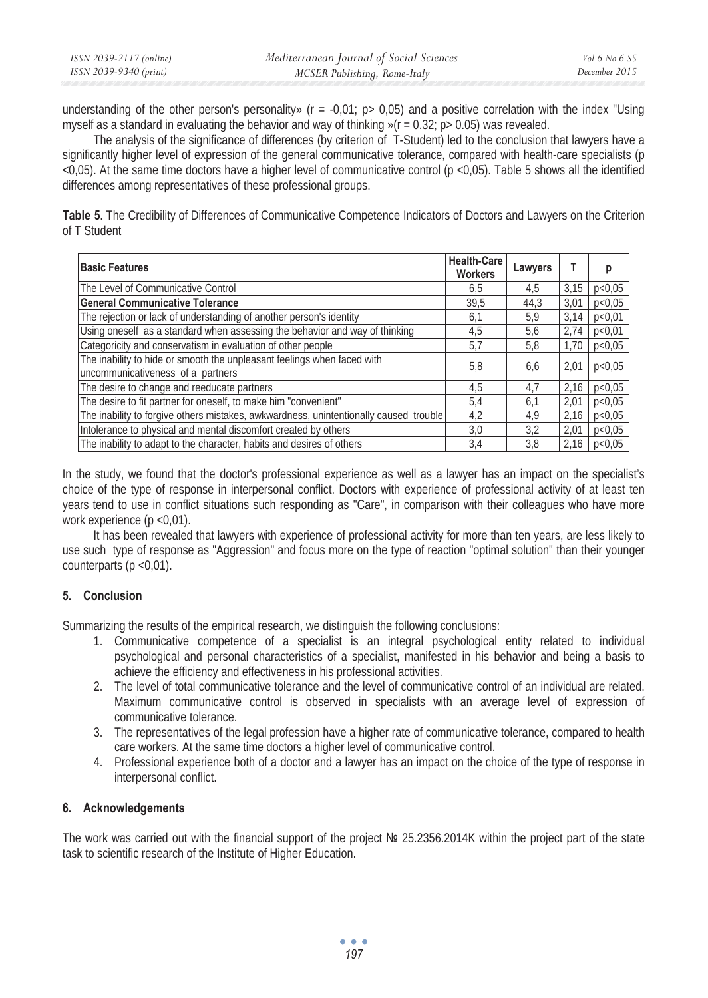understanding of the other person's personality» ( $r = -0.01$ ;  $p > 0.05$ ) and a positive correlation with the index "Using myself as a standard in evaluating the behavior and way of thinking  $\sqrt{r} = 0.32$ ; p > 0.05) was revealed.

The analysis of the significance of differences (by criterion of T-Student) led to the conclusion that lawyers have a significantly higher level of expression of the general communicative tolerance, compared with health-care specialists (p <0,05). At the same time doctors have a higher level of communicative control (p <0,05). Table 5 shows all the identified differences among representatives of these professional groups.

**Table 5.** The Credibility of Differences of Communicative Competence Indicators of Doctors and Lawyers on the Criterion of T Student

| <b>Basic Features</b>                                                                                        | <b>Health-Care</b><br><b>Workers</b> | Lawyers |      | р      |
|--------------------------------------------------------------------------------------------------------------|--------------------------------------|---------|------|--------|
| The Level of Communicative Control                                                                           | 6.5                                  | 4.5     | 3.15 | p<0.05 |
| <b>General Communicative Tolerance</b>                                                                       | 39.5                                 | 44.3    | 3.01 | p<0.05 |
| The rejection or lack of understanding of another person's identity                                          | 6,1                                  | 5.9     | 3.14 | p<0.01 |
| Using oneself as a standard when assessing the behavior and way of thinking                                  | 4,5                                  | 5.6     | 2.74 | p<0.01 |
| Categoricity and conservatism in evaluation of other people                                                  | 5,7                                  | 5,8     | 1.70 | p<0.05 |
| The inability to hide or smooth the unpleasant feelings when faced with<br>uncommunicativeness of a partners | 5,8                                  | 6.6     | 2,01 | p<0,05 |
| The desire to change and reeducate partners                                                                  | 4,5                                  | 4.7     | 2.16 | p<0.05 |
| The desire to fit partner for oneself, to make him "convenient"                                              | 5.4                                  | 6.1     | 2.01 | p<0.05 |
| The inability to forgive others mistakes, awkwardness, unintentionally caused trouble                        | 4,2                                  | 4.9     | 2,16 | p<0.05 |
| Intolerance to physical and mental discomfort created by others                                              | 3,0                                  | 3.2     | 2.01 | p<0.05 |
| The inability to adapt to the character, habits and desires of others                                        | 3,4                                  | 3.8     | 2.16 | p<0.05 |

In the study, we found that the doctor's professional experience as well as a lawyer has an impact on the specialist's choice of the type of response in interpersonal conflict. Doctors with experience of professional activity of at least ten years tend to use in conflict situations such responding as "Care", in comparison with their colleagues who have more work experience (p <0,01).

It has been revealed that lawyers with experience of professional activity for more than ten years, are less likely to use such type of response as "Aggression" and focus more on the type of reaction "optimal solution" than their younger counterparts (p <0,01).

## **5. Conclusion**

Summarizing the results of the empirical research, we distinguish the following conclusions:

- 1. Communicative competence of a specialist is an integral psychological entity related to individual psychological and personal characteristics of a specialist, manifested in his behavior and being a basis to achieve the efficiency and effectiveness in his professional activities.
- 2. The level of total communicative tolerance and the level of communicative control of an individual are related. Maximum communicative control is observed in specialists with an average level of expression of communicative tolerance.
- 3. The representatives of the legal profession have a higher rate of communicative tolerance, compared to health care workers. At the same time doctors a higher level of communicative control.
- 4. Professional experience both of a doctor and a lawyer has an impact on the choice of the type of response in interpersonal conflict.

## **6. Acknowledgements**

The work was carried out with the financial support of the project  $N<sup>2</sup> 25.2356.2014K$  within the project part of the state task to scientific research of the Institute of Higher Education.

> $\bullet$   $\bullet$   $\bullet$ *197*